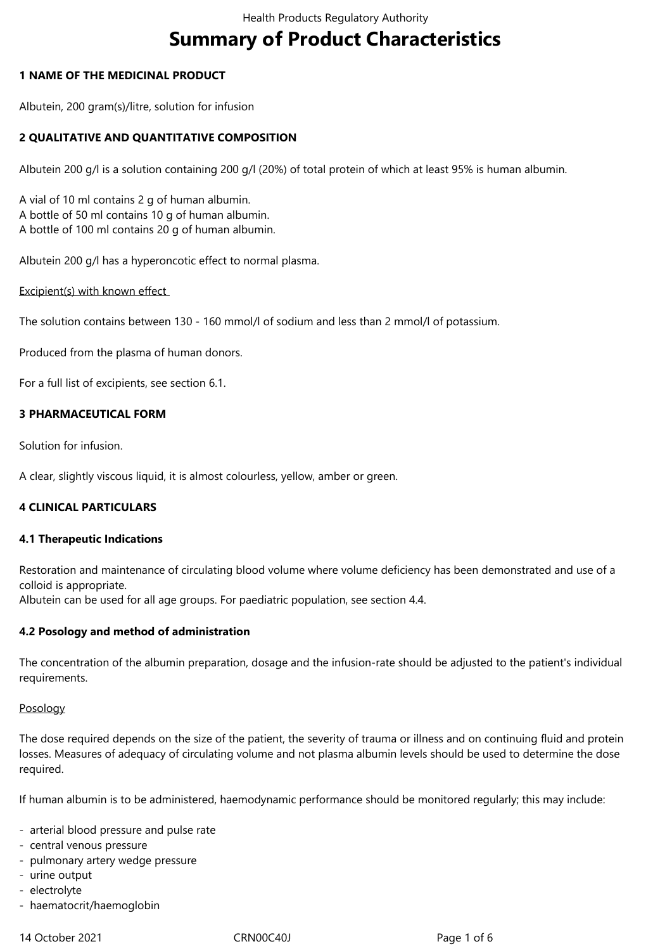# **Summary of Product Characteristics**

# **1 NAME OF THE MEDICINAL PRODUCT**

Albutein, 200 gram(s)/litre, solution for infusion

# **2 QUALITATIVE AND QUANTITATIVE COMPOSITION**

Albutein 200 g/l is a solution containing 200 g/l (20%) of total protein of which at least 95% is human albumin.

A vial of 10 ml contains 2 g of human albumin. A bottle of 50 ml contains 10 g of human albumin. A bottle of 100 ml contains 20 g of human albumin.

Albutein 200 g/l has a hyperoncotic effect to normal plasma.

Excipient(s) with known effect

The solution contains between 130 - 160 mmol/l of sodium and less than 2 mmol/l of potassium.

Produced from the plasma of human donors.

For a full list of excipients, see section 6.1.

# **3 PHARMACEUTICAL FORM**

Solution for infusion.

A clear, slightly viscous liquid, it is almost colourless, yellow, amber or green.

# **4 CLINICAL PARTICULARS**

# **4.1 Therapeutic Indications**

Restoration and maintenance of circulating blood volume where volume deficiency has been demonstrated and use of a colloid is appropriate.

Albutein can be used for all age groups. For paediatric population, see section 4.4.

# **4.2 Posology and method of administration**

The concentration of the albumin preparation, dosage and the infusion-rate should be adjusted to the patient's individual requirements.

# Posology

The dose required depends on the size of the patient, the severity of trauma or illness and on continuing fluid and protein losses. Measures of adequacy of circulating volume and not plasma albumin levels should be used to determine the dose required.

If human albumin is to be administered, haemodynamic performance should be monitored regularly; this may include:

- arterial blood pressure and pulse rate
- central venous pressure
- pulmonary artery wedge pressure
- urine output
- electrolyte
- haematocrit/haemoglobin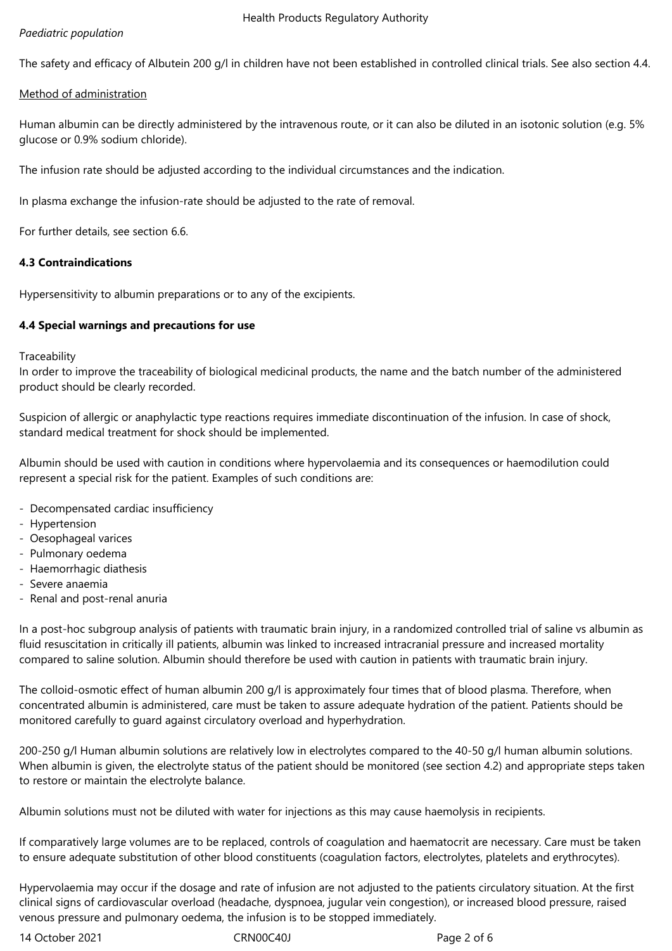# *Paediatric population*

The safety and efficacy of Albutein 200 g/l in children have not been established in controlled clinical trials. See also section 4.4.

# Method of administration

Human albumin can be directly administered by the intravenous route, or it can also be diluted in an isotonic solution (e.g. 5% glucose or 0.9% sodium chloride).

The infusion rate should be adjusted according to the individual circumstances and the indication.

In plasma exchange the infusion-rate should be adjusted to the rate of removal.

For further details, see section 6.6.

# **4.3 Contraindications**

Hypersensitivity to albumin preparations or to any of the excipients.

# **4.4 Special warnings and precautions for use**

**Traceability** 

In order to improve the traceability of biological medicinal products, the name and the batch number of the administered product should be clearly recorded.

Suspicion of allergic or anaphylactic type reactions requires immediate discontinuation of the infusion. In case of shock, standard medical treatment for shock should be implemented.

Albumin should be used with caution in conditions where hypervolaemia and its consequences or haemodilution could represent a special risk for the patient. Examples of such conditions are:

- Decompensated cardiac insufficiency
- Hypertension
- Oesophageal varices
- Pulmonary oedema
- Haemorrhagic diathesis
- Severe anaemia
- Renal and post-renal anuria

In a post-hoc subgroup analysis of patients with traumatic brain injury, in a randomized controlled trial of saline vs albumin as fluid resuscitation in critically ill patients, albumin was linked to increased intracranial pressure and increased mortality compared to saline solution. Albumin should therefore be used with caution in patients with traumatic brain injury.

The colloid-osmotic effect of human albumin 200 g/l is approximately four times that of blood plasma. Therefore, when concentrated albumin is administered, care must be taken to assure adequate hydration of the patient. Patients should be monitored carefully to guard against circulatory overload and hyperhydration.

200-250 g/l Human albumin solutions are relatively low in electrolytes compared to the 40-50 g/l human albumin solutions. When albumin is given, the electrolyte status of the patient should be monitored (see section 4.2) and appropriate steps taken to restore or maintain the electrolyte balance.

Albumin solutions must not be diluted with water for injections as this may cause haemolysis in recipients.

If comparatively large volumes are to be replaced, controls of coagulation and haematocrit are necessary. Care must be taken to ensure adequate substitution of other blood constituents (coagulation factors, electrolytes, platelets and erythrocytes).

Hypervolaemia may occur if the dosage and rate of infusion are not adjusted to the patients circulatory situation. At the first clinical signs of cardiovascular overload (headache, dyspnoea, jugular vein congestion), or increased blood pressure, raised venous pressure and pulmonary oedema, the infusion is to be stopped immediately.

14 October 2021 CRN00C40J Page 2 of 6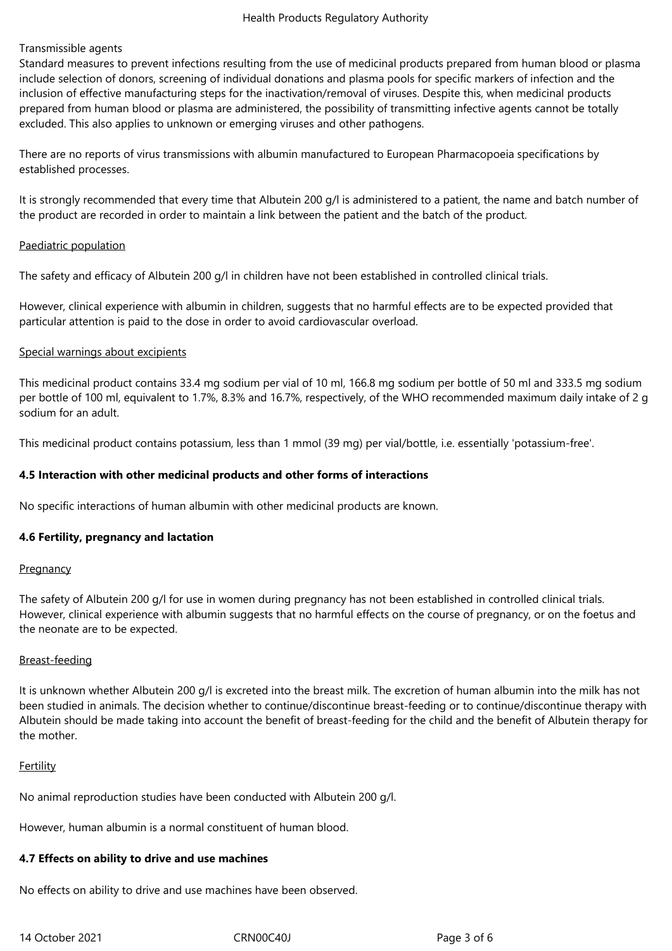# Transmissible agents

Standard measures to prevent infections resulting from the use of medicinal products prepared from human blood or plasma include selection of donors, screening of individual donations and plasma pools for specific markers of infection and the inclusion of effective manufacturing steps for the inactivation/removal of viruses. Despite this, when medicinal products prepared from human blood or plasma are administered, the possibility of transmitting infective agents cannot be totally excluded. This also applies to unknown or emerging viruses and other pathogens.

There are no reports of virus transmissions with albumin manufactured to European Pharmacopoeia specifications by established processes.

It is strongly recommended that every time that Albutein 200 g/l is administered to a patient, the name and batch number of the product are recorded in order to maintain a link between the patient and the batch of the product.

# Paediatric population

The safety and efficacy of Albutein 200 g/l in children have not been established in controlled clinical trials.

However, clinical experience with albumin in children, suggests that no harmful effects are to be expected provided that particular attention is paid to the dose in order to avoid cardiovascular overload.

# Special warnings about excipients

This medicinal product contains 33.4 mg sodium per vial of 10 ml, 166.8 mg sodium per bottle of 50 ml and 333.5 mg sodium per bottle of 100 ml, equivalent to 1.7%, 8.3% and 16.7%, respectively, of the WHO recommended maximum daily intake of 2 g sodium for an adult.

This medicinal product contains potassium, less than 1 mmol (39 mg) per vial/bottle, i.e. essentially 'potassium-free'.

# **4.5 Interaction with other medicinal products and other forms of interactions**

No specific interactions of human albumin with other medicinal products are known.

# **4.6 Fertility, pregnancy and lactation**

# **Pregnancy**

The safety of Albutein 200 g/l for use in women during pregnancy has not been established in controlled clinical trials. However, clinical experience with albumin suggests that no harmful effects on the course of pregnancy, or on the foetus and the neonate are to be expected.

# Breast-feeding

It is unknown whether Albutein 200 g/l is excreted into the breast milk. The excretion of human albumin into the milk has not been studied in animals. The decision whether to continue/discontinue breast-feeding or to continue/discontinue therapy with Albutein should be made taking into account the benefit of breast-feeding for the child and the benefit of Albutein therapy for the mother.

# **Fertility**

No animal reproduction studies have been conducted with Albutein 200 g/l.

However, human albumin is a normal constituent of human blood.

# **4.7 Effects on ability to drive and use machines**

No effects on ability to drive and use machines have been observed.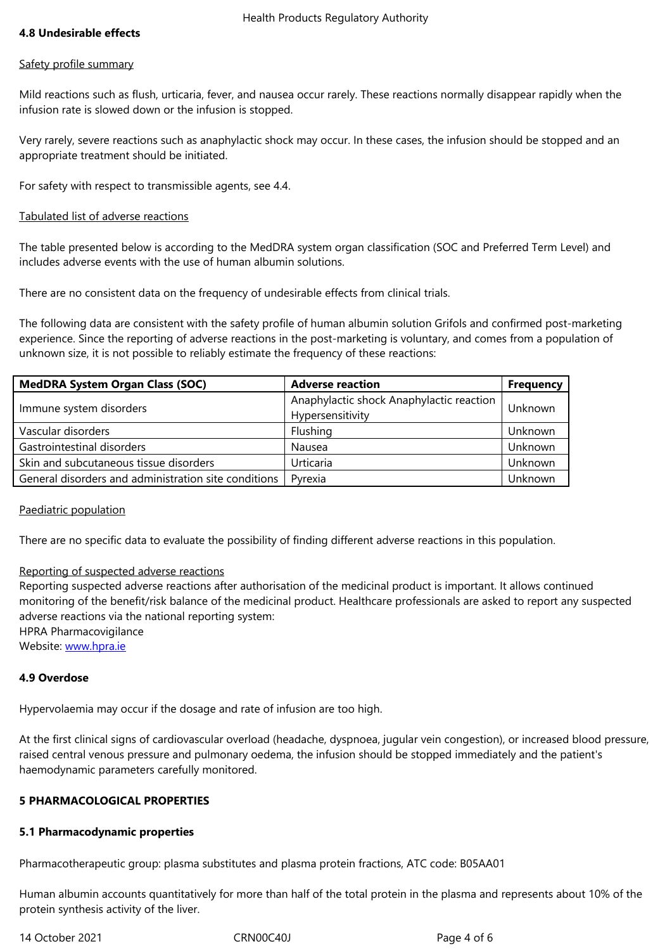#### Safety profile summary

Mild reactions such as flush, urticaria, fever, and nausea occur rarely. These reactions normally disappear rapidly when the infusion rate is slowed down or the infusion is stopped.

Very rarely, severe reactions such as anaphylactic shock may occur. In these cases, the infusion should be stopped and an appropriate treatment should be initiated.

For safety with respect to transmissible agents, see 4.4.

# Tabulated list of adverse reactions

The table presented below is according to the MedDRA system organ classification (SOC and Preferred Term Level) and includes adverse events with the use of human albumin solutions.

There are no consistent data on the frequency of undesirable effects from clinical trials.

The following data are consistent with the safety profile of human albumin solution Grifols and confirmed post-marketing experience. Since the reporting of adverse reactions in the post-marketing is voluntary, and comes from a population of unknown size, it is not possible to reliably estimate the frequency of these reactions:

| <b>MedDRA System Organ Class (SOC)</b>               | <b>Adverse reaction</b>                                      | <b>Frequency</b> |
|------------------------------------------------------|--------------------------------------------------------------|------------------|
| Immune system disorders                              | Anaphylactic shock Anaphylactic reaction<br>Hypersensitivity | Unknown          |
| Vascular disorders                                   | Flushing                                                     | Unknown          |
| Gastrointestinal disorders                           | Nausea                                                       | Unknown          |
| Skin and subcutaneous tissue disorders               | Urticaria                                                    | Unknown          |
| General disorders and administration site conditions | Pyrexia                                                      | Unknown          |

# Paediatric population

There are no specific data to evaluate the possibility of finding different adverse reactions in this population.

# Reporting of suspected adverse reactions

Reporting suspected adverse reactions after authorisation of the medicinal product is important. It allows continued monitoring of the benefit/risk balance of the medicinal product. Healthcare professionals are asked to report any suspected adverse reactions via the national reporting system: HPRA Pharmacovigilance Website: www.hpra.ie

# **4.9 Overdose**

Hypervol[aemia may o](http://www.hpra.ie/)ccur if the dosage and rate of infusion are too high.

At the first clinical signs of cardiovascular overload (headache, dyspnoea, jugular vein congestion), or increased blood pressure, raised central venous pressure and pulmonary oedema, the infusion should be stopped immediately and the patient's haemodynamic parameters carefully monitored.

# **5 PHARMACOLOGICAL PROPERTIES**

# **5.1 Pharmacodynamic properties**

Pharmacotherapeutic group: plasma substitutes and plasma protein fractions, ATC code: B05AA01

Human albumin accounts quantitatively for more than half of the total protein in the plasma and represents about 10% of the protein synthesis activity of the liver.

14 October 2021 CRN00C40J Page 4 of 6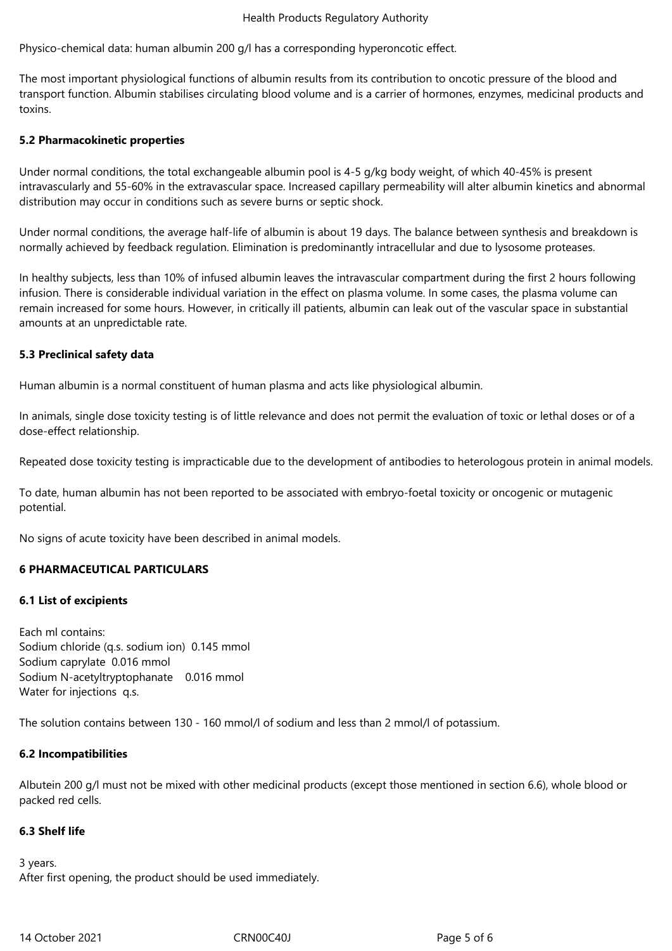Physico-chemical data: human albumin 200 g/l has a corresponding hyperoncotic effect.

The most important physiological functions of albumin results from its contribution to oncotic pressure of the blood and transport function. Albumin stabilises circulating blood volume and is a carrier of hormones, enzymes, medicinal products and toxins.

# **5.2 Pharmacokinetic properties**

Under normal conditions, the total exchangeable albumin pool is 4-5 g/kg body weight, of which 40‑45% is present intravascularly and 55-60% in the extravascular space. Increased capillary permeability will alter albumin kinetics and abnormal distribution may occur in conditions such as severe burns or septic shock.

Under normal conditions, the average half-life of albumin is about 19 days. The balance between synthesis and breakdown is normally achieved by feedback regulation. Elimination is predominantly intracellular and due to lysosome proteases.

In healthy subjects, less than 10% of infused albumin leaves the intravascular compartment during the first 2 hours following infusion. There is considerable individual variation in the effect on plasma volume. In some cases, the plasma volume can remain increased for some hours. However, in critically ill patients, albumin can leak out of the vascular space in substantial amounts at an unpredictable rate.

# **5.3 Preclinical safety data**

Human albumin is a normal constituent of human plasma and acts like physiological albumin.

In animals, single dose toxicity testing is of little relevance and does not permit the evaluation of toxic or lethal doses or of a dose-effect relationship.

Repeated dose toxicity testing is impracticable due to the development of antibodies to heterologous protein in animal models.

To date, human albumin has not been reported to be associated with embryo-foetal toxicity or oncogenic or mutagenic potential.

No signs of acute toxicity have been described in animal models.

# **6 PHARMACEUTICAL PARTICULARS**

# **6.1 List of excipients**

Each ml contains: Sodium chloride (q.s. sodium ion) 0.145 mmol Sodium caprylate 0.016 mmol Sodium N-acetyltryptophanate 0.016 mmol Water for injections q.s.

The solution contains between 130 - 160 mmol/l of sodium and less than 2 mmol/l of potassium.

# **6.2 Incompatibilities**

Albutein 200 g/l must not be mixed with other medicinal products (except those mentioned in section 6.6), whole blood or packed red cells.

# **6.3 Shelf life**

3 years. After first opening, the product should be used immediately.